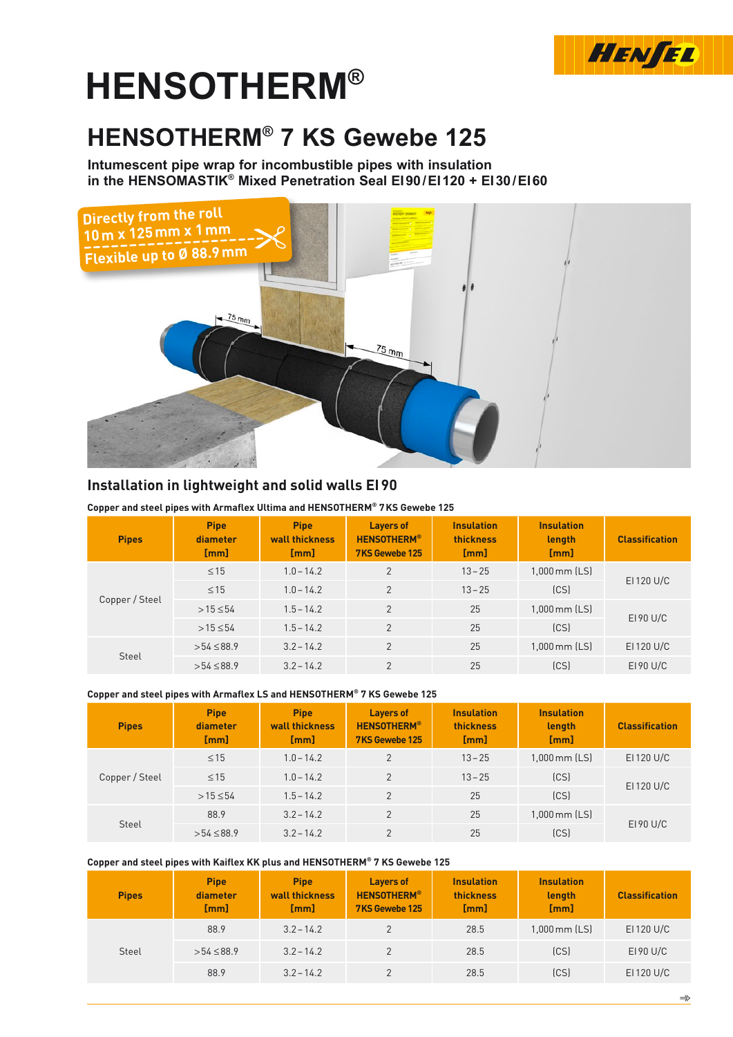

# **HENSOtherm®**

# **HENSOTHERM® 7 KS Gewebe 125**

**Intumescent pipe wrap for incombustible pipes with insulation in the HENSOMASTIK® Mixed Penetration Seal EI90/EI120 + EI30/EI60**



# **Installation in lightweight and solid walls EI90**

| Copper and steel pipes with Armaflex Ultima and HENSOTHERM® 7KS Gewebe 125 |
|----------------------------------------------------------------------------|
|----------------------------------------------------------------------------|

| <b>Pipes</b>   | <b>Pipe</b><br>diameter<br>[mm] | <b>Pipe</b><br>wall thickness<br>[mm] | <b>Layers of</b><br><b>HENSOTHERM®</b><br>7KS Gewebe 125 | <b>Insulation</b><br>thickness<br>[mm] | <b>Insulation</b><br>length<br>[mm] | <b>Classification</b> |
|----------------|---------------------------------|---------------------------------------|----------------------------------------------------------|----------------------------------------|-------------------------------------|-----------------------|
|                | $\leq$ 15                       | $1.0 - 14.2$                          | $\overline{2}$                                           | $13 - 25$                              | 1,000 mm (LS)                       |                       |
|                | $\leq$ 15                       | $1.0 - 14.2$                          | $\overline{2}$                                           | $13 - 25$                              | (CS)                                | EI 120 U/C            |
| Copper / Steel | $>15 \le 54$                    | $1.5 - 14.2$                          | $\overline{2}$                                           | 25                                     | $1,000$ mm $[LS]$                   |                       |
|                | $>15 \le 54$                    | $1.5 - 14.2$                          | $\overline{2}$                                           | 25                                     | (CS)                                | EI 90 U/C             |
|                | $>54 \le 88.9$                  | $3.2 - 14.2$                          | $\overline{2}$                                           | 25                                     | 1,000 mm (LS)                       | EI 120 U/C            |
| Steel          | $>54 \le 88.9$                  | $3.2 - 14.2$                          | $\mathfrak{p}$                                           | 25                                     | (CS)                                | $E190$ U/C            |

#### **Copper and steel pipes with Armaflex LS and HENSOTHERM® 7 KS Gewebe 125**

| <b>Pipes</b>   | <b>Pipe</b><br>diameter<br>[mm] | <b>Pipe</b><br>wall thickness<br>[mm] | <b>Layers of</b><br><b>HENSOTHERM®</b><br>7KS Gewebe 125 | <b>Insulation</b><br>thickness<br>[mm] | <b>Insulation</b><br>length<br>[mm] | <b>Classification</b> |
|----------------|---------------------------------|---------------------------------------|----------------------------------------------------------|----------------------------------------|-------------------------------------|-----------------------|
| Copper / Steel | $\leq 15$                       | $1.0 - 14.2$                          | $\overline{2}$                                           | $13 - 25$                              | $1,000$ mm $[LS]$                   | EI 120 U/C            |
|                | $\leq 15$                       | $1.0 - 14.2$                          | $\mathcal{P}$                                            | $13 - 25$                              | (CS)                                |                       |
|                | $>15 \le 54$                    | $1.5 - 14.2$                          | $\overline{2}$                                           | 25                                     | [CS]                                | EI 120 U/C            |
| Steel          | 88.9                            | $3.2 - 14.2$                          | $\mathcal{P}$                                            | 25                                     | $1,000$ mm $[LS]$                   | $E190$ U/C            |
|                | $>54 \le 88.9$                  | $3.2 - 14.2$                          | $\Omega$                                                 | 25                                     | (CS)                                |                       |

#### **Copper and steel pipes with Kaiflex KK plus and HENSOTHERM® 7 KS Gewebe 125**

| <b>Pipes</b> | <b>Pipe</b><br>diameter<br>[mm] | <b>Pipe</b><br>wall thickness<br>[mm] | <b>Layers of</b><br><b>HENSOTHERM®</b><br>7KS Gewebe 125 | <b>Insulation</b><br>thickness<br>[mm] | <b>Insulation</b><br>length<br>[mm] | <b>Classification</b> |
|--------------|---------------------------------|---------------------------------------|----------------------------------------------------------|----------------------------------------|-------------------------------------|-----------------------|
|              | 88.9                            | $3.2 - 14.2$                          |                                                          | 28.5                                   | 1,000 mm (LS)                       | EI 120 U/C            |
| Steel        | $>54 \le 88.9$                  | $3.2 - 14.2$                          | 2                                                        | 28.5                                   | [CS]                                | E190 U/C              |
|              | 88.9                            | $3.2 - 14.2$                          |                                                          | 28.5                                   | [CS]                                | EI 120 U/C            |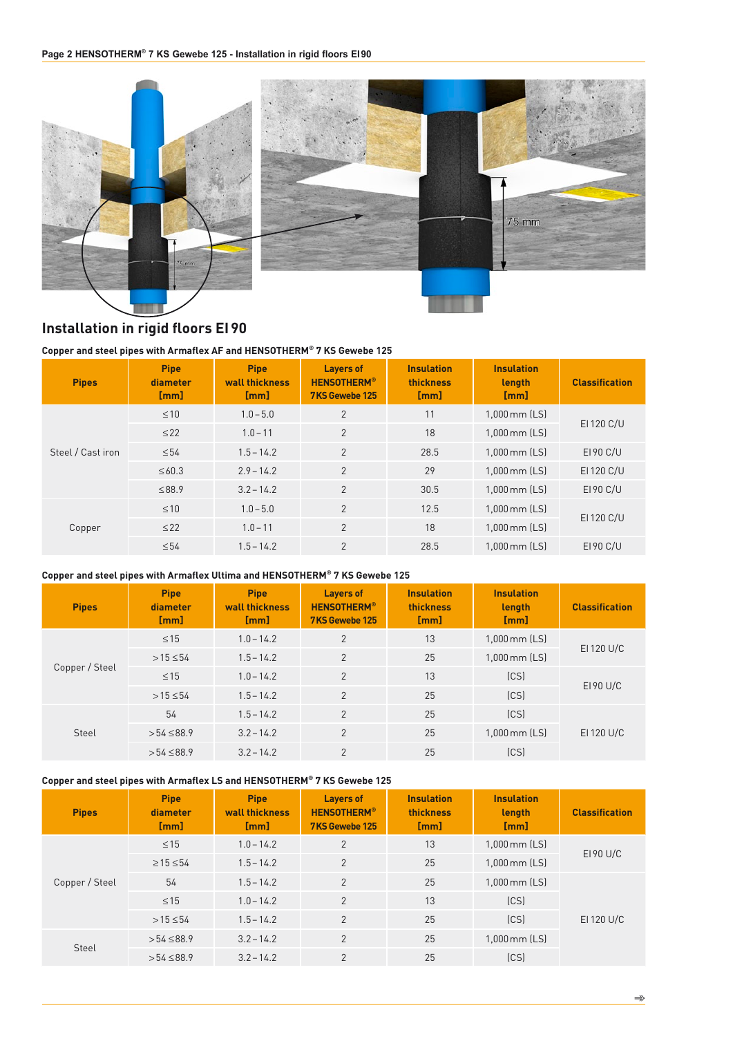

# **Installation in rigid floors EI90**

#### **Copper and steel pipes with Armaflex AF and HENSOTHERM® 7 KS Gewebe 125**

| <b>Pipes</b>      | <b>Pipe</b><br>diameter<br>[mm] | <b>Pipe</b><br>wall thickness<br>[mm] | <b>Layers of</b><br><b>HENSOTHERM®</b><br>7KS Gewebe 125 | <b>Insulation</b><br>thickness<br>[mm] | <b>Insulation</b><br>length<br>[mm] | <b>Classification</b> |
|-------------------|---------------------------------|---------------------------------------|----------------------------------------------------------|----------------------------------------|-------------------------------------|-----------------------|
|                   | $\leq 10$                       | $1.0 - 5.0$                           | $\overline{2}$                                           | 11                                     | $1,000$ mm $[LS]$                   |                       |
| Steel / Cast iron | $\leq$ 22                       | $1.0 - 11$                            | 2                                                        | 18                                     | $1,000$ mm $[LS]$                   | EI 120 C/U            |
|                   | $\leq 54$                       | $1.5 - 14.2$                          | 2                                                        | 28.5                                   | $1,000$ mm $[LS]$                   | E190 C/U              |
|                   | $\leq 60.3$                     | $2.9 - 14.2$                          | 2                                                        | 29                                     | $1,000$ mm $[LS]$                   | EI 120 C/U            |
|                   | ≤88.9                           | $3.2 - 14.2$                          | 2                                                        | 30.5                                   | $1,000$ mm $[LS]$                   | E190 C/U              |
| Copper            | $\leq 10$                       | $1.0 - 5.0$                           | $\overline{2}$                                           | 12.5                                   | $1.000$ mm $[LS]$                   | EI 120 C/U            |
|                   | $\leq$ 22                       | $1.0 - 11$                            | $\overline{2}$                                           | 18                                     | $1,000$ mm $[LS]$                   |                       |
|                   | $\leq 54$                       | $1.5 - 14.2$                          | $\overline{2}$                                           | 28.5                                   | $1.000$ mm $[LS]$                   | E190 C/U              |

#### **Copper and steel pipes with Armaflex Ultima and HENSOTHERM® 7 KS Gewebe 125**

| <b>Pipes</b>   | <b>Pipe</b><br>diameter<br>[mm] | <b>Pipe</b><br>wall thickness<br>[mm] | <b>Layers of</b><br><b>HENSOTHERM®</b><br>7KS Gewebe 125 | <b>Insulation</b><br>thickness<br>[mm] | <b>Insulation</b><br>length<br>[mm] | <b>Classification</b> |
|----------------|---------------------------------|---------------------------------------|----------------------------------------------------------|----------------------------------------|-------------------------------------|-----------------------|
|                | $\leq 15$                       | $1.0 - 14.2$                          | $\overline{2}$                                           | 13                                     | $1,000$ mm $[LS]$                   |                       |
| Copper / Steel | $>15 \le 54$                    | $1.5 - 14.2$                          | $\overline{2}$                                           | 25                                     | 1,000 mm (LS)                       | EI 120 U/C            |
|                | $\leq 15$                       | $1.0 - 14.2$                          | $\overline{2}$                                           | 13                                     | (CS)                                |                       |
|                | $>15 \le 54$                    | $1.5 - 14.2$                          | $\overline{2}$                                           | 25                                     | (CS)                                | E190 U/C              |
| Steel          | 54                              | $1.5 - 14.2$                          | $\overline{2}$                                           | 25                                     | [CS]                                |                       |
|                | $>54 \le 88.9$                  | $3.2 - 14.2$                          | $\overline{2}$                                           | 25                                     | $1,000$ mm $[LS]$                   | EI 120 U/C            |
|                | $>54 \le 88.9$                  | $3.2 - 14.2$                          | $\overline{2}$                                           | 25                                     | (CS)                                |                       |

#### **Copper and steel pipes with Armaflex LS and HENSOTHERM® 7 KS Gewebe 125**

| <b>Pipes</b>   | <b>Pipe</b><br>diameter<br>[mm] | <b>Pipe</b><br>wall thickness<br>[mm] | <b>Layers of</b><br><b>HENSOTHERM®</b><br>7KS Gewebe 125 | <b>Insulation</b><br>thickness<br>[mm] | <b>Insulation</b><br>length<br>[mm] | <b>Classification</b> |
|----------------|---------------------------------|---------------------------------------|----------------------------------------------------------|----------------------------------------|-------------------------------------|-----------------------|
|                | $\leq 15$                       | $1.0 - 14.2$                          | $\overline{2}$                                           | 13                                     | $1,000$ mm $[LS]$                   | E190 U/C              |
| Copper / Steel | $\geq$ 15 $\leq$ 54             | $1.5 - 14.2$                          | $\overline{2}$                                           | 25                                     | $1,000$ mm $[LS]$                   |                       |
|                | 54                              | $1.5 - 14.2$                          | $\overline{2}$                                           | 25                                     | $1,000$ mm $[LS]$                   |                       |
|                | $\leq 15$                       | $1.0 - 14.2$                          | $\overline{2}$                                           | 13                                     | [CS]                                |                       |
|                | $>15 \le 54$                    | $1.5 - 14.2$                          | $\overline{2}$                                           | 25                                     | [CS]                                | EI 120 U/C            |
| Steel          | $>54 \le 88.9$                  | $3.2 - 14.2$                          | 2                                                        | 25                                     | $1,000$ mm $[LS]$                   |                       |
|                | $>54 \le 88.9$                  | $3.2 - 14.2$                          | $\overline{2}$                                           | 25                                     | [CS]                                |                       |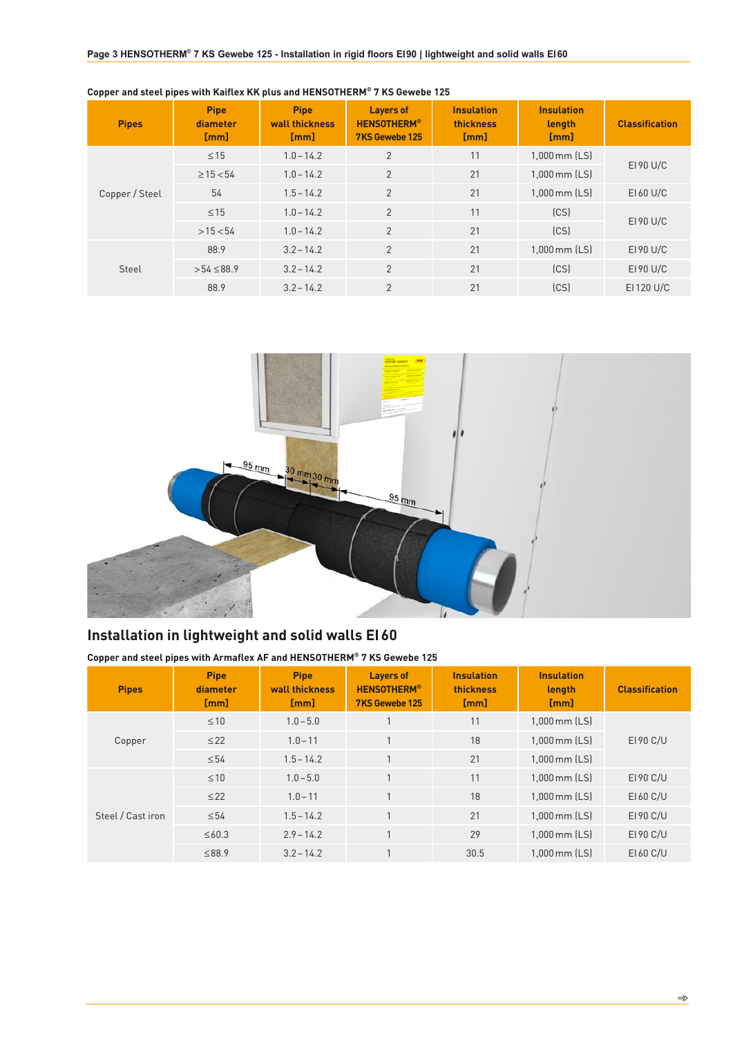| <b>Pipes</b>   | <b>Pipe</b><br>diameter<br>[mm] | <b>Pipe</b><br>wall thickness<br>[mm] | <b>Layers of</b><br><b>HENSOTHERM®</b><br>7KS Gewebe 125 | <b>Insulation</b><br>thickness<br>[mm] | <b>Insulation</b><br>length<br>[mm] | <b>Classification</b> |
|----------------|---------------------------------|---------------------------------------|----------------------------------------------------------|----------------------------------------|-------------------------------------|-----------------------|
|                | $\leq$ 15                       | $1.0 - 14.2$                          | $\overline{2}$                                           | 11                                     | $1,000$ mm $[LS]$                   | E190 U/C              |
| Copper / Steel | $\geq$ 15 $<$ 54                | $1.0 - 14.2$                          | $\overline{2}$                                           | 21                                     | $1,000$ mm $[LS]$                   |                       |
|                | 54                              | $1.5 - 14.2$                          | $\overline{2}$                                           | 21                                     | $1,000$ mm $[LS]$                   | E160 U/C              |
|                | $\leq 15$                       | $1.0 - 14.2$                          | $\overline{2}$                                           | 11                                     | (CS)                                | E190 U/C              |
|                | >15 < 54                        | $1.0 - 14.2$                          | $\overline{2}$                                           | 21                                     | (CS)                                |                       |
| Steel          | 88.9                            | $3.2 - 14.2$                          | $\overline{2}$                                           | 21                                     | $1,000$ mm $[LS]$                   | $E190$ U/C            |
|                | $>54 \le 88.9$                  | $3.2 - 14.2$                          | $\overline{2}$                                           | 21                                     | [CS]                                | $E190$ U/C            |
|                | 88.9                            | $3.2 - 14.2$                          | $\overline{2}$                                           | 21                                     | [CS]                                | EI 120 U/C            |

**Copper and steel pipes with Kaiflex KK plus and HENSOTHERM® 7 KS Gewebe 125**



# **Installation in lightweight and solid walls EI60**

**Copper and steel pipes with Armaflex AF and HENSOTHERM® 7 KS Gewebe 125**

| <b>Pipes</b>      | <b>Pipe</b><br>diameter<br>[mm] | <b>Pipe</b><br>wall thickness<br>[mm] | <b>Layers of</b><br><b>HENSOTHERM®</b><br>7KS Gewebe 125 | <b>Insulation</b><br>thickness<br>[mm] | <b>Insulation</b><br>length<br>[mm] | <b>Classification</b> |
|-------------------|---------------------------------|---------------------------------------|----------------------------------------------------------|----------------------------------------|-------------------------------------|-----------------------|
| Copper            | $\leq 10$                       | $1.0 - 5.0$                           |                                                          | 11                                     | $1,000$ mm $[LS]$                   | EI 90 C/U             |
|                   | $\leq$ 22                       | $1.0 - 11$                            |                                                          | 18                                     | $1,000$ mm $[LS]$                   |                       |
|                   | $\leq 54$                       | $1.5 - 14.2$                          | 1                                                        | 21                                     | $1,000$ mm $[LS]$                   |                       |
|                   | $\leq 10$                       | $1.0 - 5.0$                           | 1                                                        | 11                                     | $1,000$ mm $[LS]$                   | EI 90 C/U             |
|                   | $\leq$ 22                       | $1.0 - 11$                            | $\overline{1}$                                           | 18                                     | $1,000$ mm $[LS]$                   | EI 60 C/U             |
| Steel / Cast iron | $\leq 54$                       | $1.5 - 14.2$                          | 1                                                        | 21                                     | $1,000$ mm $[LS]$                   | EI 90 C/U             |
|                   | $\leq 60.3$                     | $2.9 - 14.2$                          |                                                          | 29                                     | $1,000$ mm $[LS]$                   | EI 90 C/U             |
|                   | ≤88.9                           | $3.2 - 14.2$                          |                                                          | 30.5                                   | $1,000$ mm $[LS]$                   | E160 C/U              |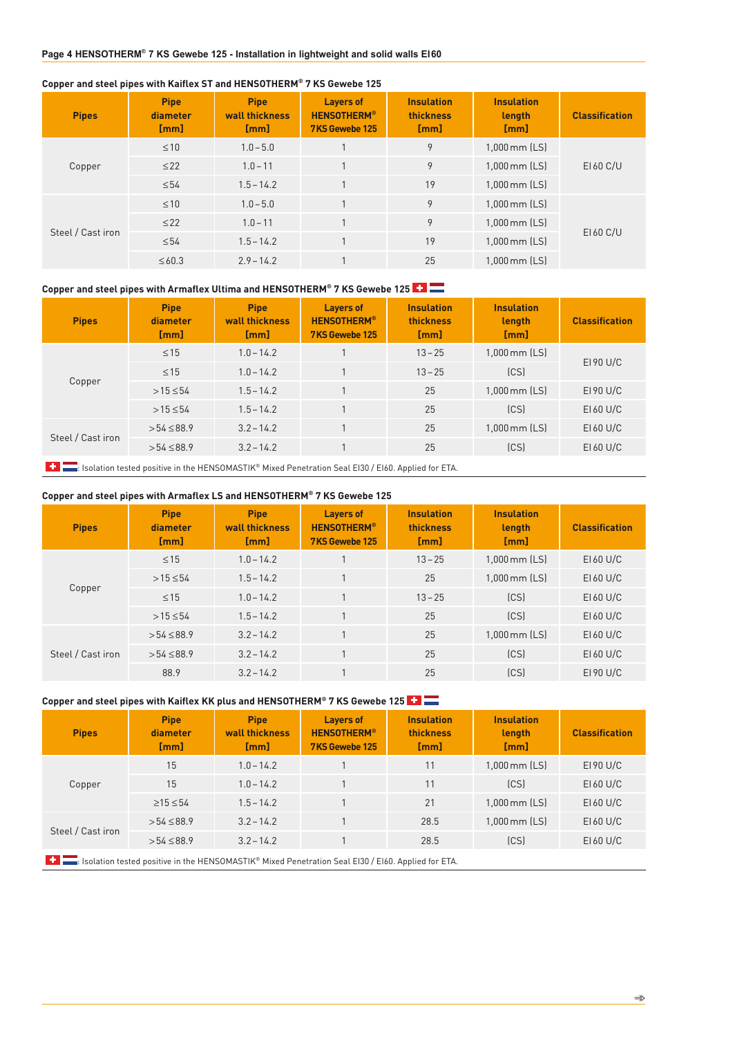#### **Copper and steel pipes with Kaiflex ST and HENSOTHERM® 7 KS Gewebe 125**

| <b>Pipes</b>      | <b>Pipe</b><br>diameter<br>[mm] | <b>Pipe</b><br>wall thickness<br>[mm] | <b>Layers of</b><br><b>HENSOTHERM®</b><br>7KS Gewebe 125 | <b>Insulation</b><br>thickness<br>[mm] | <b>Insulation</b><br>length<br>[mm] | <b>Classification</b> |
|-------------------|---------------------------------|---------------------------------------|----------------------------------------------------------|----------------------------------------|-------------------------------------|-----------------------|
|                   | $\leq 10$                       | $1.0 - 5.0$                           |                                                          | 9                                      | 1,000 mm (LS)                       | EI 60 C/U             |
| Copper            | $\leq$ 22                       | $1.0 - 11$                            |                                                          | 9                                      | $1,000$ mm $[LS]$                   |                       |
|                   | $\leq 54$                       | $1.5 - 14.2$                          |                                                          | 19                                     | $1,000$ mm $[LS]$                   |                       |
|                   | $\leq 10$                       | $1.0 - 5.0$                           |                                                          | 9                                      | $1,000$ mm $[LS]$                   | E160 C/U              |
| Steel / Cast iron | $\leq$ 22                       | $1.0 - 11$                            |                                                          | 9                                      | $1,000$ mm $[LS]$                   |                       |
|                   | $\leq 54$                       | $1.5 - 14.2$                          |                                                          | 19                                     | 1,000 mm (LS)                       |                       |
|                   | $\leq 60.3$                     | $2.9 - 14.2$                          |                                                          | 25                                     | $1.000$ mm $[LS]$                   |                       |

#### **Copper and steel pipes with Armaflex Ultima and HENSOTHERM® 7 KS Gewebe 125**

| <b>Pipes</b>      | <b>Pipe</b><br>diameter<br>[mm] | <b>Pipe</b><br>wall thickness<br>[mm] | <b>Layers of</b><br><b>HENSOTHERM®</b><br>7KS Gewebe 125 | <b>Insulation</b><br>thickness<br>[mm] | <b>Insulation</b><br>length<br>[mm] | <b>Classification</b> |
|-------------------|---------------------------------|---------------------------------------|----------------------------------------------------------|----------------------------------------|-------------------------------------|-----------------------|
|                   | $\leq 15$                       | $1.0 - 14.2$                          |                                                          | $13 - 25$                              | $1,000$ mm $[LS]$                   | $E190$ U/C            |
| Copper            | $\leq 15$                       | $1.0 - 14.2$                          |                                                          | $13 - 25$                              | (CS)                                |                       |
|                   | $>15 \le 54$                    | $1.5 - 14.2$                          |                                                          | 25                                     | $1,000$ mm $[LS]$                   | E190 U/C              |
|                   | $>15 \le 54$                    | $1.5 - 14.2$                          |                                                          | 25                                     | [CS]                                | EI 60 U/C             |
| Steel / Cast iron | $>54 \le 88.9$                  | $3.2 - 14.2$                          |                                                          | 25                                     | $1,000$ mm $[LS]$                   | EI 60 U/C             |
|                   | $>54 \le 88.9$                  | $3.2 - 14.2$                          |                                                          | 25                                     | (CS)                                | E160 U/C              |

**: It Isolation tested positive in the HENSOMASTIK® Mixed Penetration Seal EI30 / EI60. Applied for ETA.** 

#### **Copper and steel pipes with Armaflex LS and HENSOTHERM® 7 KS Gewebe 125**

| <b>Pipes</b>      | <b>Pipe</b><br>diameter<br>[mm] | <b>Pipe</b><br>wall thickness<br>[mm] | <b>Layers of</b><br><b>HENSOTHERM®</b><br>7KS Gewebe 125 | <b>Insulation</b><br><b>thickness</b><br>[mm] | <b>Insulation</b><br>length<br>[mm] | <b>Classification</b> |
|-------------------|---------------------------------|---------------------------------------|----------------------------------------------------------|-----------------------------------------------|-------------------------------------|-----------------------|
|                   | $\leq 15$                       | $1.0 - 14.2$                          |                                                          | $13 - 25$                                     | $1,000$ mm $[LS]$                   | $E160$ U/C            |
| Copper            | $>15 \le 54$                    | $1.5 - 14.2$                          |                                                          | 25                                            | $1,000$ mm $[LS]$                   | $E160$ U/C            |
|                   | $\leq 15$                       | $1.0 - 14.2$                          |                                                          | $13 - 25$                                     | [CS]                                | $E160$ U/C            |
|                   | $>15 \le 54$                    | $1.5 - 14.2$                          |                                                          | 25                                            | [CS]                                | $E160$ U/C            |
| Steel / Cast iron | $>54 \le 88.9$                  | $3.2 - 14.2$                          |                                                          | 25                                            | $1,000$ mm $[LS]$                   | EI 60 U/C             |
|                   | $>54 \le 88.9$                  | $3.2 - 14.2$                          |                                                          | 25                                            | [CS]                                | E160 U/C              |
|                   | 88.9                            | $3.2 - 14.2$                          |                                                          | 25                                            | [CS]                                | E190 U/C              |

# **Copper and steel pipes with Kaiflex KK plus and HENSOTHERM® 7 KS Gewebe 125**

| <b>Pipes</b>      | <b>Pipe</b><br>diameter<br>[mm] | <b>Pipe</b><br>wall thickness<br>[mm] | Layers of<br><b>HENSOTHERM®</b><br>7KS Gewebe 125 | <b>Insulation</b><br><b>thickness</b><br>[mm] | <b>Insulation</b><br>length<br>[mm] | <b>Classification</b> |
|-------------------|---------------------------------|---------------------------------------|---------------------------------------------------|-----------------------------------------------|-------------------------------------|-----------------------|
| Copper            | 15                              | $1.0 - 14.2$                          |                                                   | 11                                            | $1,000$ mm $[LS]$                   | $E190$ U/C            |
|                   | 15                              | $1.0 - 14.2$                          |                                                   | 11                                            | [CS]                                | $E160$ U/C            |
|                   | $\geq$ 15 $\leq$ 54             | $1.5 - 14.2$                          |                                                   | 21                                            | 1,000 mm (LS)                       | $E160$ U/C            |
| Steel / Cast iron | $>54 \le 88.9$                  | $3.2 - 14.2$                          |                                                   | 28.5                                          | $1,000$ mm $[LS]$                   | $E160$ U/C            |
|                   | $>54 \le 88.9$                  | $3.2 - 14.2$                          |                                                   | 28.5                                          | [CS]                                | $E160$ U/C            |

**: Isolation tested positive in the HENSOMASTIK® Mixed Penetration Seal EI30 / EI60. Applied for ETA.**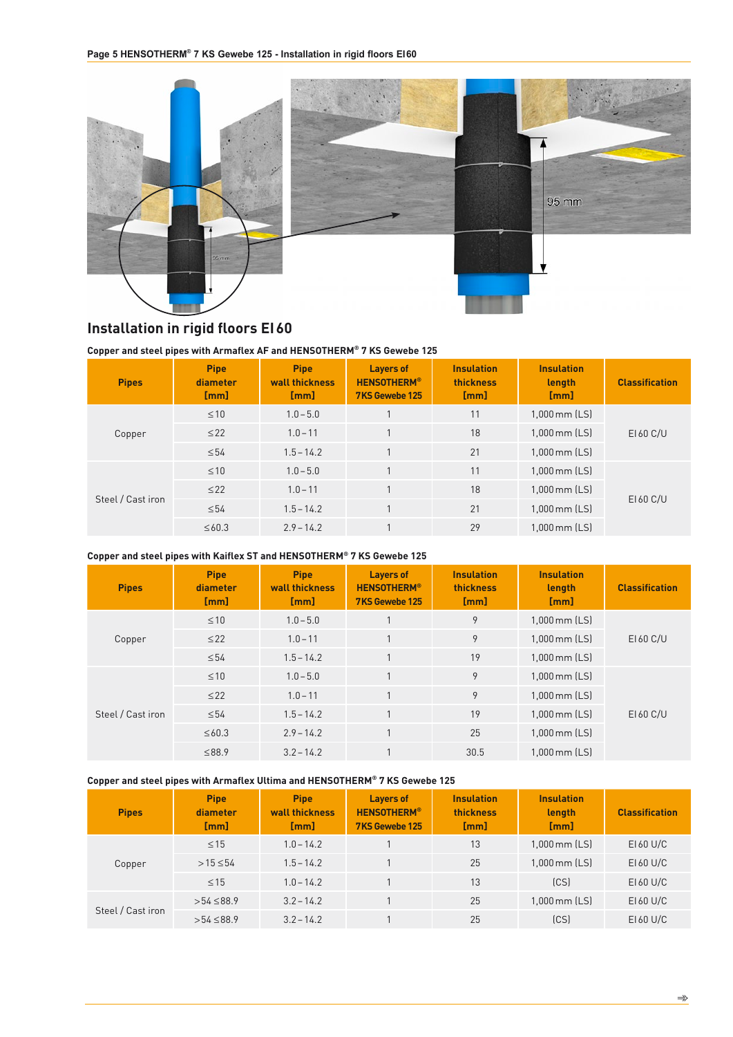

# **Installation in rigid floors EI60**

#### **Copper and steel pipes with Armaflex AF and HENSOTHERM® 7 KS Gewebe 125**

| <b>Pipes</b>      | <b>Pipe</b><br>diameter<br>[mm] | <b>Pipe</b><br>wall thickness<br>[mm] | <b>Layers of</b><br><b>HENSOTHERM®</b><br>7KS Gewebe 125 | <b>Insulation</b><br>thickness<br>[mm] | <b>Insulation</b><br>length<br>[mm] | <b>Classification</b> |
|-------------------|---------------------------------|---------------------------------------|----------------------------------------------------------|----------------------------------------|-------------------------------------|-----------------------|
| Copper            | $\leq 10$                       | $1.0 - 5.0$                           |                                                          | 11                                     | $1,000$ mm $[LS]$                   | EI 60 C/U             |
|                   | $\leq$ 22                       | $1.0 - 11$                            |                                                          | 18                                     | $1,000$ mm $[LS]$                   |                       |
|                   | $\leq 54$                       | $1.5 - 14.2$                          |                                                          | 21                                     | $1,000$ mm $[LS]$                   |                       |
| Steel / Cast iron | $\leq 10$                       | $1.0 - 5.0$                           |                                                          | 11                                     | $1,000$ mm $[LS]$                   | EI 60 C/U             |
|                   | $\leq$ 22                       | $1.0 - 11$                            |                                                          | 18                                     | $1,000$ mm $[LS]$                   |                       |
|                   | $\leq 54$                       | $1.5 - 14.2$                          |                                                          | 21                                     | $1,000$ mm $[LS]$                   |                       |
|                   | $\leq 60.3$                     | $2.9 - 14.2$                          |                                                          | 29                                     | $1.000$ mm $[LS]$                   |                       |

#### **Copper and steel pipes with Kaiflex ST and HENSOTHERM® 7 KS Gewebe 125**

| <b>Pipes</b>      | <b>Pipe</b><br>diameter<br>[mm] | <b>Pipe</b><br>wall thickness<br>[mm] | <b>Layers of</b><br><b>HENSOTHERM®</b><br>7KS Gewebe 125 | <b>Insulation</b><br>thickness<br>[mm] | <b>Insulation</b><br>length<br>[mm] | <b>Classification</b> |
|-------------------|---------------------------------|---------------------------------------|----------------------------------------------------------|----------------------------------------|-------------------------------------|-----------------------|
|                   | $\leq 10$                       | $1.0 - 5.0$                           |                                                          | 9                                      | $1,000$ mm $[LS]$                   |                       |
| Copper            | $\leq$ 22                       | $1.0 - 11$                            |                                                          | 9                                      | $1,000$ mm $[LS]$                   | EI 60 C/U             |
|                   | $\leq 54$                       | $1.5 - 14.2$                          | 1                                                        | 19                                     | $1,000$ mm $[LS]$                   |                       |
| Steel / Cast iron | $\leq 10$                       | $1.0 - 5.0$                           | 1                                                        | 9                                      | $1,000$ mm $[LS]$                   | EI 60 C/U             |
|                   | $\leq$ 22                       | $1.0 - 11$                            | 1                                                        | 9                                      | $1,000$ mm $[LS]$                   |                       |
|                   | $\leq 54$                       | $1.5 - 14.2$                          | 1                                                        | 19                                     | $1,000$ mm $[LS]$                   |                       |
|                   | $\leq 60.3$                     | $2.9 - 14.2$                          | $\mathbf{1}$                                             | 25                                     | $1,000$ mm $[LS]$                   |                       |
|                   | ≤88.9                           | $3.2 - 14.2$                          |                                                          | 30.5                                   | $1.000$ mm $[LS]$                   |                       |

#### **Copper and steel pipes with Armaflex Ultima and HENSOTHERM® 7 KS Gewebe 125**

| <b>Pipes</b>      | <b>Pipe</b><br>diameter<br>[mm] | <b>Pipe</b><br>wall thickness<br>[mm] | <b>Layers of</b><br><b>HENSOTHERM®</b><br>7KS Gewebe 125 | <b>Insulation</b><br><b>thickness</b><br>[mm] | <b>Insulation</b><br>length<br>[mm] | <b>Classification</b> |
|-------------------|---------------------------------|---------------------------------------|----------------------------------------------------------|-----------------------------------------------|-------------------------------------|-----------------------|
| Copper            | $\leq$ 15                       | $1.0 - 14.2$                          |                                                          | 13                                            | $1,000$ mm $[LS]$                   | $E160$ U/C            |
|                   | $>15 \le 54$                    | $1.5 - 14.2$                          |                                                          | 25                                            | $1,000$ mm $[LS]$                   | EI 60 U/C             |
|                   | $\leq$ 15                       | $1.0 - 14.2$                          |                                                          | 13                                            | [CS]                                | EI 60 U/C             |
| Steel / Cast iron | $>54 \le 88.9$                  | $3.2 - 14.2$                          |                                                          | 25                                            | $1,000$ mm $[LS]$                   | EI 60 U/C             |
|                   | $>54 \le 88.9$                  | $3.2 - 14.2$                          |                                                          | 25                                            | (CS)                                | EI 60 U/C             |